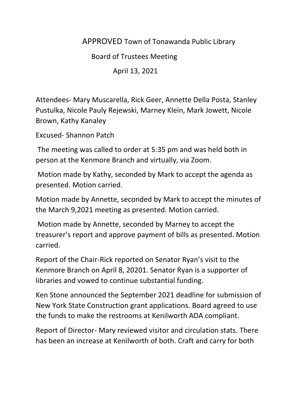## APPROVED Town of Tonawanda Public Library

Board of Trustees Meeting

April 13, 2021

Attendees- Mary Muscarella, Rick Geer, Annette Della Posta, Stanley Pustulka, Nicole Pauly Rejewski, Marney Klein, Mark Jowett, Nicole Brown, Kathy Kanaley

Excused- Shannon Patch

The meeting was called to order at 5:35 pm and was held both in person at the Kenmore Branch and virtually, via Zoom.

Motion made by Kathy, seconded by Mark to accept the agenda as presented. Motion carried.

Motion made by Annette, seconded by Mark to accept the minutes of the March 9,2021 meeting as presented. Motion carried.

Motion made by Annette, seconded by Marney to accept the treasurer's report and approve payment of bills as presented. Motion carried.

Report of the Chair-Rick reported on Senator Ryan's visit to the Kenmore Branch on April 8, 20201. Senator Ryan is a supporter of libraries and vowed to continue substantial funding.

Ken Stone announced the September 2021 deadline for submission of New York State Construction grant applications. Board agreed to use the funds to make the restrooms at Kenilworth ADA compliant.

Report of Director- Mary reviewed visitor and circulation stats. There has been an increase at Kenilworth of both. Craft and carry for both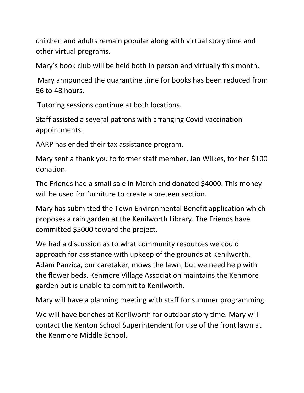children and adults remain popular along with virtual story time and other virtual programs.

Mary's book club will be held both in person and virtually this month.

Mary announced the quarantine time for books has been reduced from 96 to 48 hours.

Tutoring sessions continue at both locations.

Staff assisted a several patrons with arranging Covid vaccination appointments.

AARP has ended their tax assistance program.

Mary sent a thank you to former staff member, Jan Wilkes, for her \$100 donation.

The Friends had a small sale in March and donated \$4000. This money will be used for furniture to create a preteen section.

Mary has submitted the Town Environmental Benefit application which proposes a rain garden at the Kenilworth Library. The Friends have committed \$5000 toward the project.

We had a discussion as to what community resources we could approach for assistance with upkeep of the grounds at Kenilworth. Adam Panzica, our caretaker, mows the lawn, but we need help with the flower beds. Kenmore Village Association maintains the Kenmore garden but is unable to commit to Kenilworth.

Mary will have a planning meeting with staff for summer programming.

We will have benches at Kenilworth for outdoor story time. Mary will contact the Kenton School Superintendent for use of the front lawn at the Kenmore Middle School.